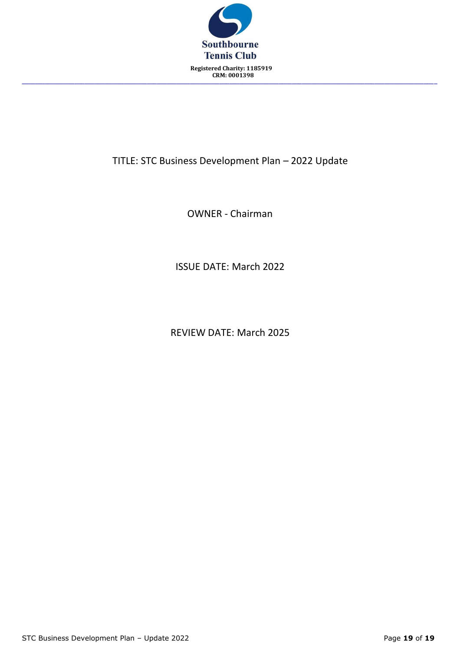

# TITLE: STC Business Development Plan – 2022 Update

OWNER - Chairman

ISSUE DATE: March 2022

REVIEW DATE: March 2025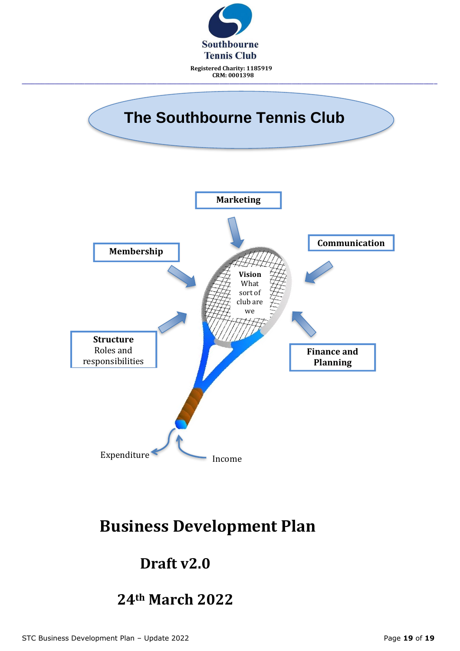

# **Business Development Plan**

# **Draft v2.0**

# **24th March 2022**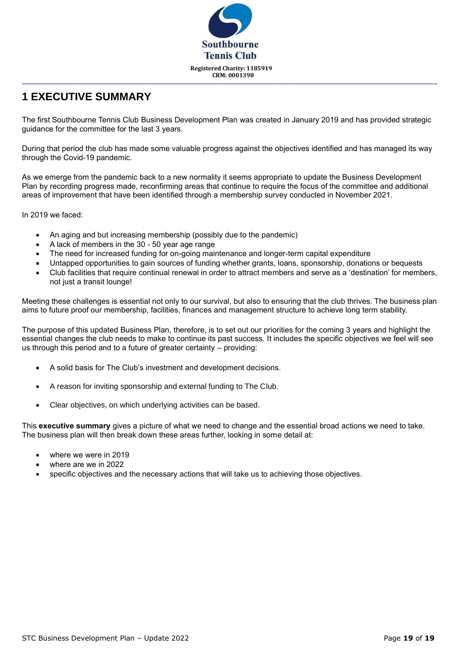

## **1 EXECUTIVE SUMMARY**

The first Southbourne Tennis Club Business Development Plan was created in January 2019 and has provided strategic guidance for the committee for the last 3 years.

During that period the club has made some valuable progress against the objectives identified and has managed its way through the Covid-19 pandemic.

As we emerge from the pandemic back to a new normality it seems appropriate to update the Business Development Plan by recording progress made, reconfirming areas that continue to require the focus of the committee and additional areas of improvement that have been identified through a membership survey conducted in November 2021.

In 2019 we faced:

- An aging and but increasing membership (possibly due to the pandemic)
- A lack of members in the 30 50 year age range
- The need for increased funding for on-going maintenance and longer-term capital expenditure
- Untapped opportunities to gain sources of funding whether grants, loans, sponsorship, donations or bequests
- Club facilities that require continual renewal in order to attract members and serve as a 'destination' for members, not just a transit lounge!

Meeting these challenges is essential not only to our survival, but also to ensuring that the club thrives. The business plan aims to future proof our membership, facilities, finances and management structure to achieve long term stability.

The purpose of this updated Business Plan, therefore, is to set out our priorities for the coming 3 years and highlight the essential changes the club needs to make to continue its past success. It includes the specific objectives we feel will see us through this period and to a future of greater certainty – providing:

- A solid basis for The Club's investment and development decisions.
- A reason for inviting sponsorship and external funding to The Club.
- Clear objectives, on which underlying activities can be based.

This **executive summary** gives a picture of what we need to change and the essential broad actions we need to take. The business plan will then break down these areas further, looking in some detail at:

- where we were in 2019
- where are we in 2022
- specific objectives and the necessary actions that will take us to achieving those objectives.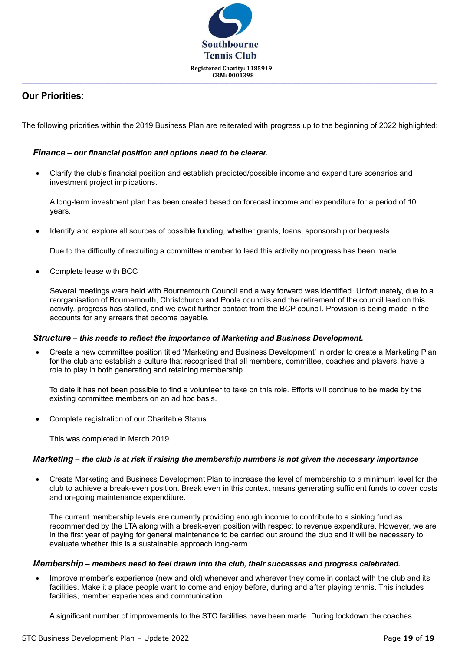

### **Our Priorities:**

The following priorities within the 2019 Business Plan are reiterated with progress up to the beginning of 2022 highlighted:

#### *Finance – our financial position and options need to be clearer.*

• Clarify the club's financial position and establish predicted/possible income and expenditure scenarios and investment project implications.

A long-term investment plan has been created based on forecast income and expenditure for a period of 10 years.

• Identify and explore all sources of possible funding, whether grants, loans, sponsorship or bequests

Due to the difficulty of recruiting a committee member to lead this activity no progress has been made.

• Complete lease with BCC

Several meetings were held with Bournemouth Council and a way forward was identified. Unfortunately, due to a reorganisation of Bournemouth, Christchurch and Poole councils and the retirement of the council lead on this activity, progress has stalled, and we await further contact from the BCP council. Provision is being made in the accounts for any arrears that become payable.

#### *Structure – this needs to reflect the importance of Marketing and Business Development.*

• Create a new committee position titled 'Marketing and Business Development' in order to create a Marketing Plan for the club and establish a culture that recognised that all members, committee, coaches and players, have a role to play in both generating and retaining membership.

To date it has not been possible to find a volunteer to take on this role. Efforts will continue to be made by the existing committee members on an ad hoc basis.

Complete registration of our Charitable Status

This was completed in March 2019

#### *Marketing – the club is at risk if raising the membership numbers is not given the necessary importance*

• Create Marketing and Business Development Plan to increase the level of membership to a minimum level for the club to achieve a break-even position. Break even in this context means generating sufficient funds to cover costs and on-going maintenance expenditure.

The current membership levels are currently providing enough income to contribute to a sinking fund as recommended by the LTA along with a break-even position with respect to revenue expenditure. However, we are in the first year of paying for general maintenance to be carried out around the club and it will be necessary to evaluate whether this is a sustainable approach long-term.

#### *Membership – members need to feel drawn into the club, their successes and progress celebrated.*

• Improve member's experience (new and old) whenever and wherever they come in contact with the club and its facilities. Make it a place people want to come and enjoy before, during and after playing tennis. This includes facilities, member experiences and communication.

A significant number of improvements to the STC facilities have been made. During lockdown the coaches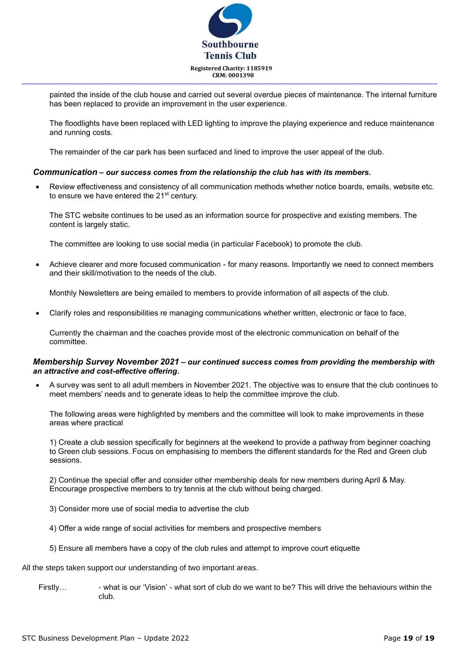

painted the inside of the club house and carried out several overdue pieces of maintenance. The internal furniture has been replaced to provide an improvement in the user experience.

The floodlights have been replaced with LED lighting to improve the playing experience and reduce maintenance and running costs.

The remainder of the car park has been surfaced and lined to improve the user appeal of the club.

#### *Communication – our success comes from the relationship the club has with its members.*

• Review effectiveness and consistency of all communication methods whether notice boards, emails, website etc. to ensure we have entered the 21<sup>st</sup> century.

The STC website continues to be used as an information source for prospective and existing members. The content is largely static.

The committee are looking to use social media (in particular Facebook) to promote the club.

• Achieve clearer and more focused communication - for many reasons. Importantly we need to connect members and their skill/motivation to the needs of the club.

Monthly Newsletters are being emailed to members to provide information of all aspects of the club.

• Clarify roles and responsibilities re managing communications whether written, electronic or face to face,

Currently the chairman and the coaches provide most of the electronic communication on behalf of the committee.

#### *Membership Survey November 2021 – our continued success comes from providing the membership with an attractive and cost-effective offering.*

• A survey was sent to all adult members in November 2021. The objective was to ensure that the club continues to meet members' needs and to generate ideas to help the committee improve the club.

The following areas were highlighted by members and the committee will look to make improvements in these areas where practical

1) Create a club session specifically for beginners at the weekend to provide a pathway from beginner coaching to Green club sessions. Focus on emphasising to members the different standards for the Red and Green club sessions.

2) Continue the special offer and consider other membership deals for new members during April & May. Encourage prospective members to try tennis at the club without being charged.

- 3) Consider more use of social media to advertise the club
- 4) Offer a wide range of social activities for members and prospective members
- 5) Ensure all members have a copy of the club rules and attempt to improve court etiquette

All the steps taken support our understanding of two important areas.

Firstly... - what is our 'Vision' - what sort of club do we want to be? This will drive the behaviours within the club.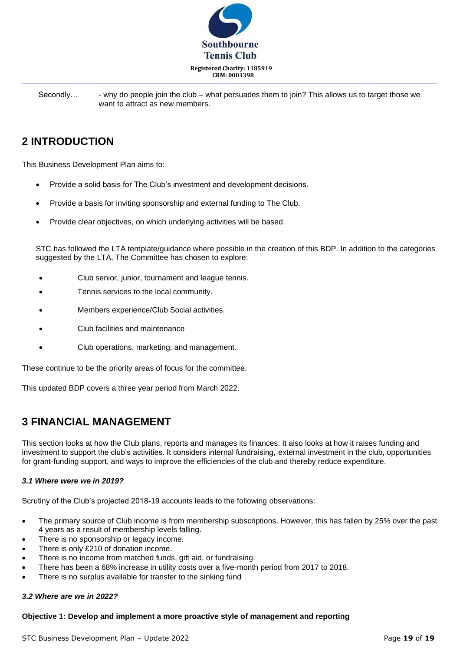

Secondly...  $\cdot$  - why do people join the club – what persuades them to join? This allows us to target those we want to attract as new members.

## **2 INTRODUCTION**

This Business Development Plan aims to:

- Provide a solid basis for The Club's investment and development decisions.
- Provide a basis for inviting sponsorship and external funding to The Club.
- Provide clear objectives, on which underlying activities will be based.

STC has followed the LTA template/guidance where possible in the creation of this BDP. In addition to the categories suggested by the LTA, The Committee has chosen to explore:

- Club senior, junior, tournament and league tennis.
- Tennis services to the local community.
- Members experience/Club Social activities.
- Club facilities and maintenance
- Club operations, marketing, and management.

These continue to be the priority areas of focus for the committee.

This updated BDP covers a three year period from March 2022.

### **3 FINANCIAL MANAGEMENT**

This section looks at how the Club plans, reports and manages its finances. It also looks at how it raises funding and investment to support the club's activities. It considers internal fundraising, external investment in the club, opportunities for grant-funding support, and ways to improve the efficiencies of the club and thereby reduce expenditure.

#### *3.1 Where were we in 2019?*

Scrutiny of the Club's projected 2018-19 accounts leads to the following observations:

- The primary source of Club income is from membership subscriptions. However, this has fallen by 25% over the past 4 years as a result of membership levels falling.
- There is no sponsorship or legacy income.
- There is only £210 of donation income.
- There is no income from matched funds, gift aid, or fundraising.
- There has been a 68% increase in utility costs over a five-month period from 2017 to 2018.
- There is no surplus available for transfer to the sinking fund

#### *3.2 Where are we in 2022?*

#### **Objective 1: Develop and implement a more proactive style of management and reporting**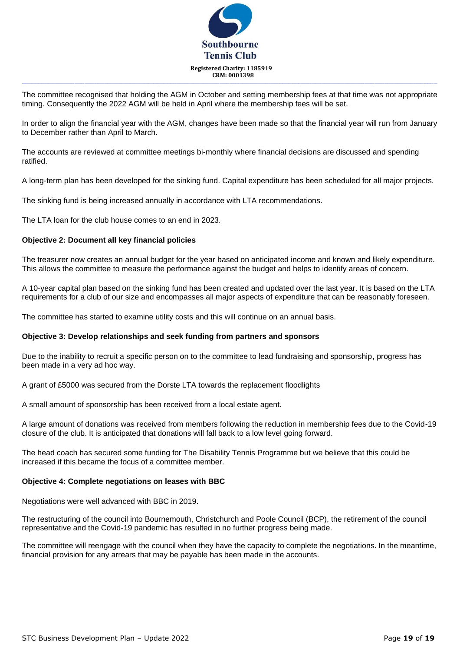

The committee recognised that holding the AGM in October and setting membership fees at that time was not appropriate timing. Consequently the 2022 AGM will be held in April where the membership fees will be set.

In order to align the financial year with the AGM, changes have been made so that the financial year will run from January to December rather than April to March.

The accounts are reviewed at committee meetings bi-monthly where financial decisions are discussed and spending ratified.

A long-term plan has been developed for the sinking fund. Capital expenditure has been scheduled for all major projects.

The sinking fund is being increased annually in accordance with LTA recommendations.

The LTA loan for the club house comes to an end in 2023.

#### **Objective 2: Document all key financial policies**

The treasurer now creates an annual budget for the year based on anticipated income and known and likely expenditure. This allows the committee to measure the performance against the budget and helps to identify areas of concern.

A 10-year capital plan based on the sinking fund has been created and updated over the last year. It is based on the LTA requirements for a club of our size and encompasses all major aspects of expenditure that can be reasonably foreseen.

The committee has started to examine utility costs and this will continue on an annual basis.

#### **Objective 3: Develop relationships and seek funding from partners and sponsors**

Due to the inability to recruit a specific person on to the committee to lead fundraising and sponsorship, progress has been made in a very ad hoc way.

A grant of £5000 was secured from the Dorste LTA towards the replacement floodlights

A small amount of sponsorship has been received from a local estate agent.

A large amount of donations was received from members following the reduction in membership fees due to the Covid-19 closure of the club. It is anticipated that donations will fall back to a low level going forward.

The head coach has secured some funding for The Disability Tennis Programme but we believe that this could be increased if this became the focus of a committee member.

#### **Objective 4: Complete negotiations on leases with BBC**

Negotiations were well advanced with BBC in 2019.

The restructuring of the council into Bournemouth, Christchurch and Poole Council (BCP), the retirement of the council representative and the Covid-19 pandemic has resulted in no further progress being made.

The committee will reengage with the council when they have the capacity to complete the negotiations. In the meantime, financial provision for any arrears that may be payable has been made in the accounts.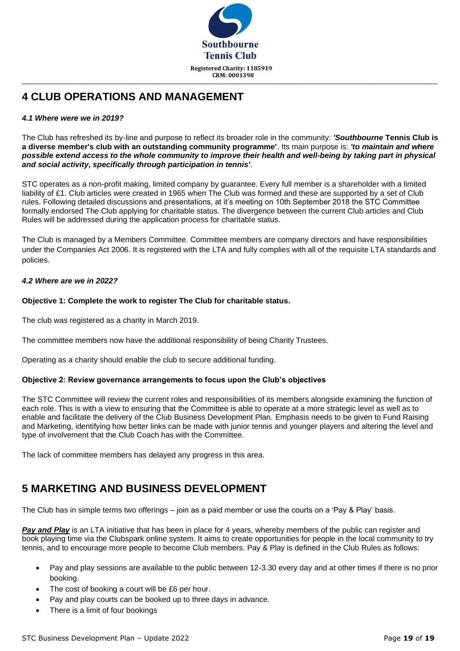

## **4 CLUB OPERATIONS AND MANAGEMENT**

#### *4.1 Where were we in 2019?*

The Club has refreshed its by-line and purpose to reflect its broader role in the community: *'Southbourne* **Tennis Club is a diverse member's club with an outstanding community programme'**. Its main purpose is: *'to maintain and where possible extend access to the whole community to improve their health and well-being by taking part in physical and social activity, specifically through participation in tennis'*.

STC operates as a non-profit making, limited company by guarantee. Every full member is a shareholder with a limited liability of £1. Club articles were created in 1965 when The Club was formed and these are supported by a set of Club rules. Following detailed discussions and presentations, at it's meeting on 10th September 2018 the STC Committee formally endorsed The Club applying for charitable status. The divergence between the current Club articles and Club Rules will be addressed during the application process for charitable status.

The Club is managed by a Members Committee. Committee members are company directors and have responsibilities under the Companies Act 2006. It is registered with the LTA and fully complies with all of the requisite LTA standards and policies.

#### *4.2 Where are we in 2022?*

#### **Objective 1: Complete the work to register The Club for charitable status.**

The club was registered as a charity in March 2019.

The committee members now have the additional responsibility of being Charity Trustees.

Operating as a charity should enable the club to secure additional funding.

#### **Objective 2: Review governance arrangements to focus upon the Club's objectives**

The STC Committee will review the current roles and responsibilities of its members alongside examining the function of each role. This is with a view to ensuring that the Committee is able to operate at a more strategic level as well as to enable and facilitate the delivery of the Club Business Development Plan. Emphasis needs to be given to Fund Raising and Marketing, identifying how better links can be made with junior tennis and younger players and altering the level and type of involvement that the Club Coach has with the Committee.

The lack of committee members has delayed any progress in this area.

# **5 MARKETING AND BUSINESS DEVELOPMENT**

The Club has in simple terms two offerings – join as a paid member or use the courts on a 'Pay & Play' basis.

**Pay and Play** is an LTA initiative that has been in place for 4 years, whereby members of the public can register and book playing time via the Clubspark online system. It aims to create opportunities for people in the local community to try tennis, and to encourage more people to become Club members. Pay & Play is defined in the Club Rules as follows:

- Pay and play sessions are available to the public between 12-3.30 every day and at other times if there is no prior booking.
- The cost of booking a court will be £6 per hour.
- Pay and play courts can be booked up to three days in advance.
- There is a limit of four bookings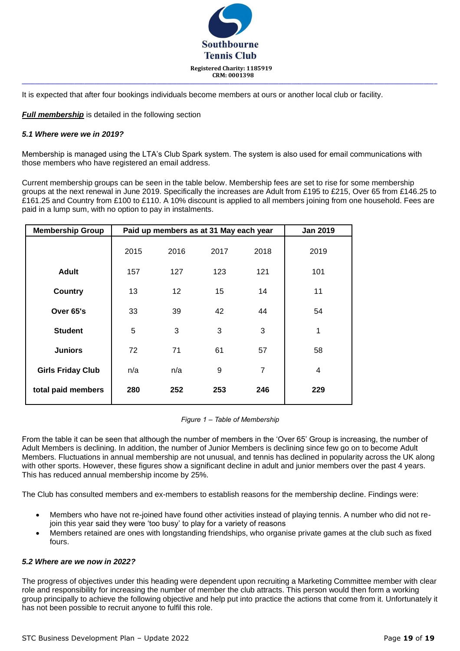

It is expected that after four bookings individuals become members at ours or another local club or facility.

*Full membership* is detailed in the following section

#### *5.1 Where were we in 2019?*

Membership is managed using the LTA's Club Spark system. The system is also used for email communications with those members who have registered an email address.

Current membership groups can be seen in the table below. Membership fees are set to rise for some membership groups at the next renewal in June 2019. Specifically the increases are Adult from £195 to £215, Over 65 from £146.25 to £161.25 and Country from £100 to £110. A 10% discount is applied to all members joining from one household. Fees are paid in a lump sum, with no option to pay in instalments.

| <b>Membership Group</b>  |      |                 | Paid up members as at 31 May each year |                | <b>Jan 2019</b> |
|--------------------------|------|-----------------|----------------------------------------|----------------|-----------------|
|                          | 2015 | 2016            | 2017                                   | 2018           | 2019            |
| <b>Adult</b>             | 157  | 127             | 123                                    | 121            | 101             |
| <b>Country</b>           | 13   | 12 <sub>2</sub> | 15                                     | 14             | 11              |
| Over 65's                | 33   | 39              | 42                                     | 44             | 54              |
| <b>Student</b>           | 5    | 3               | 3                                      | 3              | 1               |
| <b>Juniors</b>           | 72   | 71              | 61                                     | 57             | 58              |
| <b>Girls Friday Club</b> | n/a  | n/a             | 9                                      | $\overline{7}$ | 4               |
| total paid members       | 280  | 252             | 253                                    | 246            | 229             |

*Figure 1 – Table of Membership*

From the table it can be seen that although the number of members in the 'Over 65' Group is increasing, the number of Adult Members is declining. In addition, the number of Junior Members is declining since few go on to become Adult Members. Fluctuations in annual membership are not unusual, and tennis has declined in popularity across the UK along with other sports. However, these figures show a significant decline in adult and junior members over the past 4 years. This has reduced annual membership income by 25%.

The Club has consulted members and ex-members to establish reasons for the membership decline. Findings were:

- Members who have not re-joined have found other activities instead of playing tennis. A number who did not rejoin this year said they were 'too busy' to play for a variety of reasons
- Members retained are ones with longstanding friendships, who organise private games at the club such as fixed fours.

#### *5.2 Where are we now in 2022?*

The progress of objectives under this heading were dependent upon recruiting a Marketing Committee member with clear role and responsibility for increasing the number of member the club attracts. This person would then form a working group principally to achieve the following objective and help put into practice the actions that come from it. Unfortunately it has not been possible to recruit anyone to fulfil this role.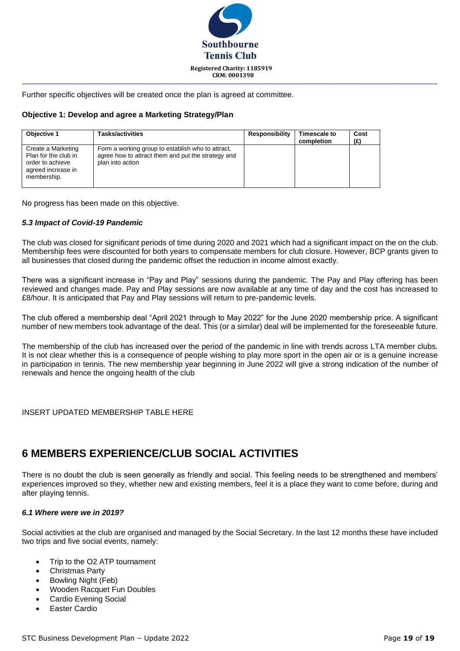

Further specific objectives will be created once the plan is agreed at committee.

#### **Objective 1: Develop and agree a Marketing Strategy/Plan**

| Objective 1                                                                                         | Tasks/activities                                                                                                            | Responsibility | Timescale to<br>completion | Cost<br>(£) |
|-----------------------------------------------------------------------------------------------------|-----------------------------------------------------------------------------------------------------------------------------|----------------|----------------------------|-------------|
| Create a Marketing<br>Plan for the club in<br>order to achieve<br>agreed increase in<br>membership. | Form a working group to establish who to attract,<br>agree how to attract them and put the strategy and<br>plan into action |                |                            |             |

No progress has been made on this objective.

#### *5.3 Impact of Covid-19 Pandemic*

The club was closed for significant periods of time during 2020 and 2021 which had a significant impact on the on the club. Membership fees were discounted for both years to compensate members for club closure. However, BCP grants given to all businesses that closed during the pandemic offset the reduction in income almost exactly.

There was a significant increase in "Pay and Play" sessions during the pandemic. The Pay and Play offering has been reviewed and changes made. Pay and Play sessions are now available at any time of day and the cost has increased to £8/hour. It is anticipated that Pay and Play sessions will return to pre-pandemic levels.

The club offered a membership deal "April 2021 through to May 2022" for the June 2020 membership price. A significant number of new members took advantage of the deal. This (or a similar) deal will be implemented for the foreseeable future.

The membership of the club has increased over the period of the pandemic in line with trends across LTA member clubs. It is not clear whether this is a consequence of people wishing to play more sport in the open air or is a genuine increase in participation in tennis. The new membership year beginning in June 2022 will give a strong indication of the number of renewals and hence the ongoing health of the club

INSERT UPDATED MEMBERSHIP TABLE HERE

# **6 MEMBERS EXPERIENCE/CLUB SOCIAL ACTIVITIES**

There is no doubt the club is seen generally as friendly and social. This feeling needs to be strengthened and members' experiences improved so they, whether new and existing members, feel it is a place they want to come before, during and after playing tennis.

#### *6.1 Where were we in 2019?*

Social activities at the club are organised and managed by the Social Secretary. In the last 12 months these have included two trips and five social events, namely:

- Trip to the O2 ATP tournament
- Christmas Party
- Bowling Night (Feb)
- Wooden Racquet Fun Doubles
- Cardio Evening Social
- Easter Cardio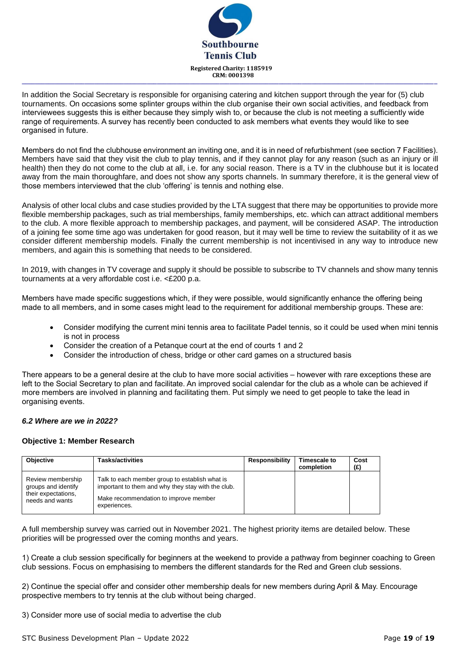

In addition the Social Secretary is responsible for organising catering and kitchen support through the year for (5) club tournaments. On occasions some splinter groups within the club organise their own social activities, and feedback from interviewees suggests this is either because they simply wish to, or because the club is not meeting a sufficiently wide range of requirements. A survey has recently been conducted to ask members what events they would like to see organised in future.

Members do not find the clubhouse environment an inviting one, and it is in need of refurbishment (see section 7 Facilities). Members have said that they visit the club to play tennis, and if they cannot play for any reason (such as an injury or ill health) then they do not come to the club at all, i.e. for any social reason. There is a TV in the clubhouse but it is located away from the main thoroughfare, and does not show any sports channels. In summary therefore, it is the general view of those members interviewed that the club 'offering' is tennis and nothing else.

Analysis of other local clubs and case studies provided by the LTA suggest that there may be opportunities to provide more flexible membership packages, such as trial memberships, family memberships, etc. which can attract additional members to the club. A more flexible approach to membership packages, and payment, will be considered ASAP. The introduction of a joining fee some time ago was undertaken for good reason, but it may well be time to review the suitability of it as we consider different membership models. Finally the current membership is not incentivised in any way to introduce new members, and again this is something that needs to be considered.

In 2019, with changes in TV coverage and supply it should be possible to subscribe to TV channels and show many tennis tournaments at a very affordable cost i.e. <£200 p.a.

Members have made specific suggestions which, if they were possible, would significantly enhance the offering being made to all members, and in some cases might lead to the requirement for additional membership groups. These are:

- Consider modifying the current mini tennis area to facilitate Padel tennis, so it could be used when mini tennis is not in process
- Consider the creation of a Petanque court at the end of courts 1 and 2
- Consider the introduction of chess, bridge or other card games on a structured basis

There appears to be a general desire at the club to have more social activities – however with rare exceptions these are left to the Social Secretary to plan and facilitate. An improved social calendar for the club as a whole can be achieved if more members are involved in planning and facilitating them. Put simply we need to get people to take the lead in organising events.

#### *6.2 Where are we in 2022?*

#### **Objective 1: Member Research**

| <b>Objective</b>                                                                   | <b>Tasks/activities</b>                                                                                                                                       | <b>Responsibility</b> | Timescale to<br>completion | Cost<br>(E) |
|------------------------------------------------------------------------------------|---------------------------------------------------------------------------------------------------------------------------------------------------------------|-----------------------|----------------------------|-------------|
| Review membership<br>groups and identify<br>their expectations,<br>needs and wants | Talk to each member group to establish what is<br>important to them and why they stay with the club.<br>Make recommendation to improve member<br>experiences. |                       |                            |             |

A full membership survey was carried out in November 2021. The highest priority items are detailed below. These priorities will be progressed over the coming months and years.

1) Create a club session specifically for beginners at the weekend to provide a pathway from beginner coaching to Green club sessions. Focus on emphasising to members the different standards for the Red and Green club sessions.

2) Continue the special offer and consider other membership deals for new members during April & May. Encourage prospective members to try tennis at the club without being charged.

3) Consider more use of social media to advertise the club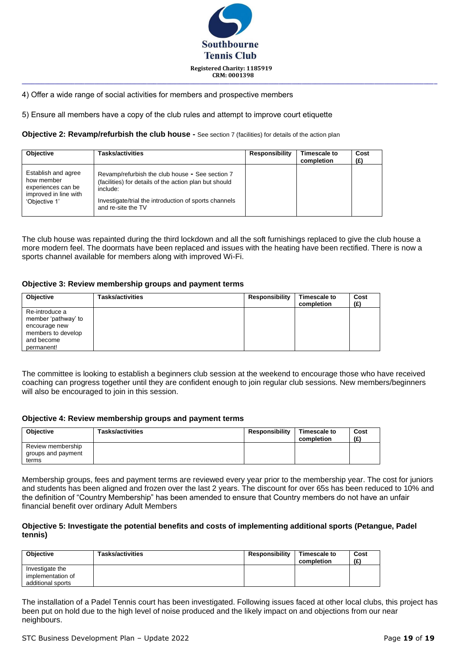

#### 4) Offer a wide range of social activities for members and prospective members

5) Ensure all members have a copy of the club rules and attempt to improve court etiquette

**Objective 2: Revamp/refurbish the club house -** See section 7 (facilities) for details of the action plan

| Objective                                                                                         | <b>Tasks/activities</b>                                                                                                                                                                              | Responsibility | Timescale to<br>completion | Cost<br>(£) |
|---------------------------------------------------------------------------------------------------|------------------------------------------------------------------------------------------------------------------------------------------------------------------------------------------------------|----------------|----------------------------|-------------|
| Establish and agree<br>how member<br>experiences can be<br>improved in line with<br>'Objective 1' | Revamp/refurbish the club house - See section 7<br>(facilities) for details of the action plan but should<br>include:<br>Investigate/trial the introduction of sports channels<br>and re-site the TV |                |                            |             |

The club house was repainted during the third lockdown and all the soft furnishings replaced to give the club house a more modern feel. The doormats have been replaced and issues with the heating have been rectified. There is now a sports channel available for members along with improved Wi-Fi.

#### **Objective 3: Review membership groups and payment terms**

| <b>Objective</b>                                                                                         | Tasks/activities | <b>Responsibility</b> | Timescale to<br>completion | Cost<br>(E) |
|----------------------------------------------------------------------------------------------------------|------------------|-----------------------|----------------------------|-------------|
| Re-introduce a<br>member 'pathway' to<br>encourage new<br>members to develop<br>and become<br>permanent! |                  |                       |                            |             |

The committee is looking to establish a beginners club session at the weekend to encourage those who have received coaching can progress together until they are confident enough to join regular club sessions. New members/beginners will also be encouraged to join in this session.

#### **Objective 4: Review membership groups and payment terms**

| <b>Objective</b>   | <b>Tasks/activities</b> | Responsibility | <b>Timescale to</b><br>completion | Cost<br>(E) |
|--------------------|-------------------------|----------------|-----------------------------------|-------------|
| Review membership  |                         |                |                                   |             |
| groups and payment |                         |                |                                   |             |
| terms              |                         |                |                                   |             |

Membership groups, fees and payment terms are reviewed every year prior to the membership year. The cost for juniors and students has been aligned and frozen over the last 2 years. The discount for over 65s has been reduced to 10% and the definition of "Country Membership" has been amended to ensure that Country members do not have an unfair financial benefit over ordinary Adult Members

#### **Objective 5: Investigate the potential benefits and costs of implementing additional sports (Petangue, Padel tennis)**

| <b>Objective</b>  | <b>Tasks/activities</b> | Responsibility | <b>Timescale to</b><br>completion | Cost<br>(E) |
|-------------------|-------------------------|----------------|-----------------------------------|-------------|
| Investigate the   |                         |                |                                   |             |
| implementation of |                         |                |                                   |             |
| additional sports |                         |                |                                   |             |

The installation of a Padel Tennis court has been investigated. Following issues faced at other local clubs, this project has been put on hold due to the high level of noise produced and the likely impact on and objections from our near neighbours.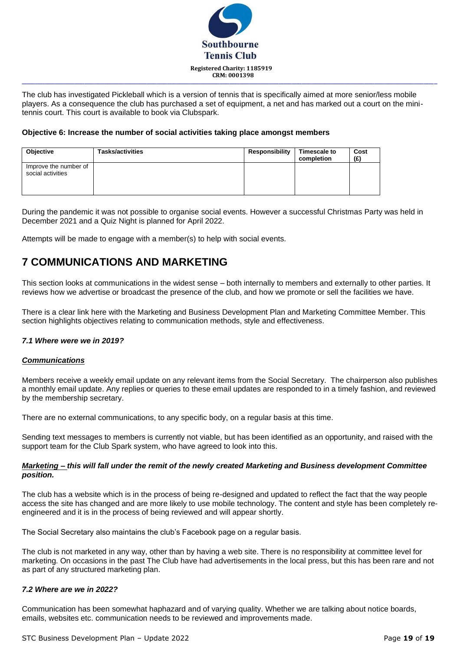

The club has investigated Pickleball which is a version of tennis that is specifically aimed at more senior/less mobile players. As a consequence the club has purchased a set of equipment, a net and has marked out a court on the minitennis court. This court is available to book via Clubspark.

#### **Objective 6: Increase the number of social activities taking place amongst members**

| <b>Objective</b>                           | <b>Tasks/activities</b> | Responsibility | Timescale to<br>completion | Cost<br>(£) |
|--------------------------------------------|-------------------------|----------------|----------------------------|-------------|
| Improve the number of<br>social activities |                         |                |                            |             |

During the pandemic it was not possible to organise social events. However a successful Christmas Party was held in December 2021 and a Quiz Night is planned for April 2022.

Attempts will be made to engage with a member(s) to help with social events.

### **7 COMMUNICATIONS AND MARKETING**

This section looks at communications in the widest sense – both internally to members and externally to other parties. It reviews how we advertise or broadcast the presence of the club, and how we promote or sell the facilities we have.

There is a clear link here with the Marketing and Business Development Plan and Marketing Committee Member. This section highlights objectives relating to communication methods, style and effectiveness.

#### *7.1 Where were we in 2019?*

#### *Communications*

Members receive a weekly email update on any relevant items from the Social Secretary. The chairperson also publishes a monthly email update. Any replies or queries to these email updates are responded to in a timely fashion, and reviewed by the membership secretary.

There are no external communications, to any specific body, on a regular basis at this time.

Sending text messages to members is currently not viable, but has been identified as an opportunity, and raised with the support team for the Club Spark system, who have agreed to look into this.

#### *Marketing – this will fall under the remit of the newly created Marketing and Business development Committee position.*

The club has a website which is in the process of being re-designed and updated to reflect the fact that the way people access the site has changed and are more likely to use mobile technology. The content and style has been completely reengineered and it is in the process of being reviewed and will appear shortly.

The Social Secretary also maintains the club's Facebook page on a regular basis.

The club is not marketed in any way, other than by having a web site. There is no responsibility at committee level for marketing. On occasions in the past The Club have had advertisements in the local press, but this has been rare and not as part of any structured marketing plan.

#### *7.2 Where are we in 2022?*

Communication has been somewhat haphazard and of varying quality. Whether we are talking about notice boards, emails, websites etc. communication needs to be reviewed and improvements made.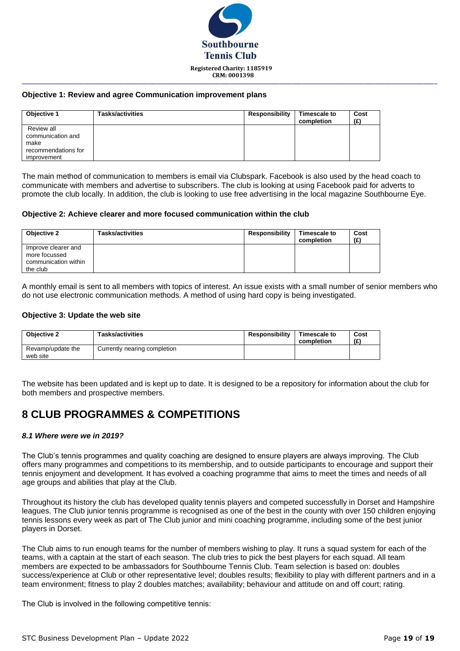

**\_\_\_\_\_\_\_\_\_\_\_\_\_\_\_\_\_\_\_\_\_\_\_\_\_\_\_\_\_\_\_\_\_\_\_\_\_\_\_\_\_\_\_\_\_\_\_\_\_\_\_\_\_\_\_\_\_\_\_\_\_\_\_\_\_\_\_\_\_\_\_\_\_\_\_\_\_\_\_\_\_\_\_\_\_\_\_\_\_\_\_\_\_\_\_\_\_\_\_\_\_\_\_\_\_\_\_\_\_\_\_\_\_\_\_\_\_\_\_\_\_\_\_\_\_\_**

#### **Objective 1: Review and agree Communication improvement plans**

| Objective 1                                                                   | <b>Tasks/activities</b> | Responsibility | Timescale to<br>completion | Cost<br>(£) |
|-------------------------------------------------------------------------------|-------------------------|----------------|----------------------------|-------------|
| Review all<br>communication and<br>make<br>recommendations for<br>improvement |                         |                |                            |             |

The main method of communication to members is email via Clubspark. Facebook is also used by the head coach to communicate with members and advertise to subscribers. The club is looking at using Facebook paid for adverts to promote the club locally. In addition, the club is looking to use free advertising in the local magazine Southbourne Eye.

#### **Objective 2: Achieve clearer and more focused communication within the club**

| Objective 2                                                              | <b>Tasks/activities</b> | Responsibility | Timescale to<br>completion | Cost<br>(E) |
|--------------------------------------------------------------------------|-------------------------|----------------|----------------------------|-------------|
| Improve clearer and<br>more focussed<br>communication within<br>the club |                         |                |                            |             |

A monthly email is sent to all members with topics of interest. An issue exists with a small number of senior members who do not use electronic communication methods. A method of using hard copy is being investigated.

#### **Objective 3: Update the web site**

| <b>Objective 2</b>            | <b>Tasks/activities</b>      | <b>Responsibility</b> | Timescale to<br>completion | Cost<br>(£) |
|-------------------------------|------------------------------|-----------------------|----------------------------|-------------|
| Revamp/update the<br>web site | Currently nearing completion |                       |                            |             |

The website has been updated and is kept up to date. It is designed to be a repository for information about the club for both members and prospective members.

### **8 CLUB PROGRAMMES & COMPETITIONS**

#### *8.1 Where were we in 2019?*

The Club's tennis programmes and quality coaching are designed to ensure players are always improving. The Club offers many programmes and competitions to its membership, and to outside participants to encourage and support their tennis enjoyment and development. It has evolved a coaching programme that aims to meet the times and needs of all age groups and abilities that play at the Club.

Throughout its history the club has developed quality tennis players and competed successfully in Dorset and Hampshire leagues. The Club junior tennis programme is recognised as one of the best in the county with over 150 children enjoying tennis lessons every week as part of The Club junior and mini coaching programme, including some of the best junior players in Dorset.

The Club aims to run enough teams for the number of members wishing to play. It runs a squad system for each of the teams, with a captain at the start of each season. The club tries to pick the best players for each squad. All team members are expected to be ambassadors for Southbourne Tennis Club. Team selection is based on: doubles success/experience at Club or other representative level; doubles results; flexibility to play with different partners and in a team environment; fitness to play 2 doubles matches; availability; behaviour and attitude on and off court; rating.

The Club is involved in the following competitive tennis: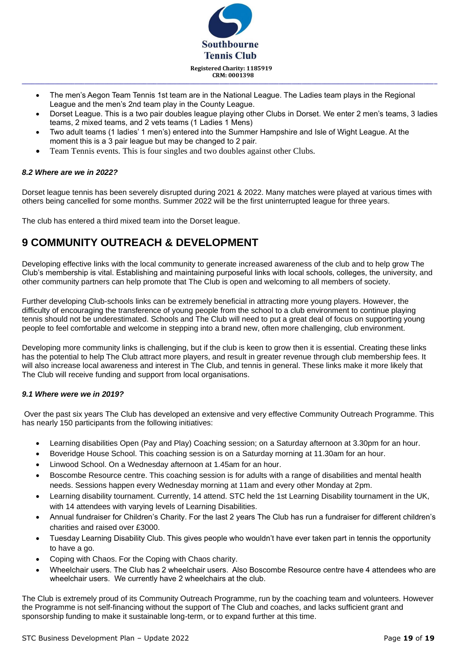

- The men's Aegon Team Tennis 1st team are in the National League. The Ladies team plays in the Regional League and the men's 2nd team play in the County League.
- Dorset League. This is a two pair doubles league playing other Clubs in Dorset. We enter 2 men's teams, 3 ladies teams, 2 mixed teams, and 2 vets teams (1 Ladies 1 Mens)
- Two adult teams (1 ladies' 1 men's) entered into the Summer Hampshire and Isle of Wight League. At the moment this is a 3 pair league but may be changed to 2 pair.
- Team Tennis events. This is four singles and two doubles against other Clubs.

#### *8.2 Where are we in 2022?*

Dorset league tennis has been severely disrupted during 2021 & 2022. Many matches were played at various times with others being cancelled for some months. Summer 2022 will be the first uninterrupted league for three years.

The club has entered a third mixed team into the Dorset league.

## **9 COMMUNITY OUTREACH & DEVELOPMENT**

Developing effective links with the local community to generate increased awareness of the club and to help grow The Club's membership is vital. Establishing and maintaining purposeful links with local schools, colleges, the university, and other community partners can help promote that The Club is open and welcoming to all members of society.

Further developing Club-schools links can be extremely beneficial in attracting more young players. However, the difficulty of encouraging the transference of young people from the school to a club environment to continue playing tennis should not be underestimated. Schools and The Club will need to put a great deal of focus on supporting young people to feel comfortable and welcome in stepping into a brand new, often more challenging, club environment.

Developing more community links is challenging, but if the club is keen to grow then it is essential. Creating these links has the potential to help The Club attract more players, and result in greater revenue through club membership fees. It will also increase local awareness and interest in The Club, and tennis in general. These links make it more likely that The Club will receive funding and support from local organisations.

#### *9.1 Where were we in 2019?*

Over the past six years The Club has developed an extensive and very effective Community Outreach Programme. This has nearly 150 participants from the following initiatives:

- Learning disabilities Open (Pay and Play) Coaching session; on a Saturday afternoon at 3.30pm for an hour.
- Boveridge House School. This coaching session is on a Saturday morning at 11.30am for an hour.
- Linwood School. On a Wednesday afternoon at 1.45am for an hour.
- Boscombe Resource centre. This coaching session is for adults with a range of disabilities and mental health needs. Sessions happen every Wednesday morning at 11am and every other Monday at 2pm.
- Learning disability tournament. Currently, 14 attend. STC held the 1st Learning Disability tournament in the UK, with 14 attendees with varying levels of Learning Disabilities.
- Annual fundraiser for Children's Charity. For the last 2 years The Club has run a fundraiser for different children's charities and raised over £3000.
- Tuesday Learning Disability Club. This gives people who wouldn't have ever taken part in tennis the opportunity to have a go.
- Coping with Chaos. For the Coping with Chaos charity.
- Wheelchair users. The Club has 2 wheelchair users. Also Boscombe Resource centre have 4 attendees who are wheelchair users. We currently have 2 wheelchairs at the club.

The Club is extremely proud of its Community Outreach Programme, run by the coaching team and volunteers. However the Programme is not self-financing without the support of The Club and coaches, and lacks sufficient grant and sponsorship funding to make it sustainable long-term, or to expand further at this time.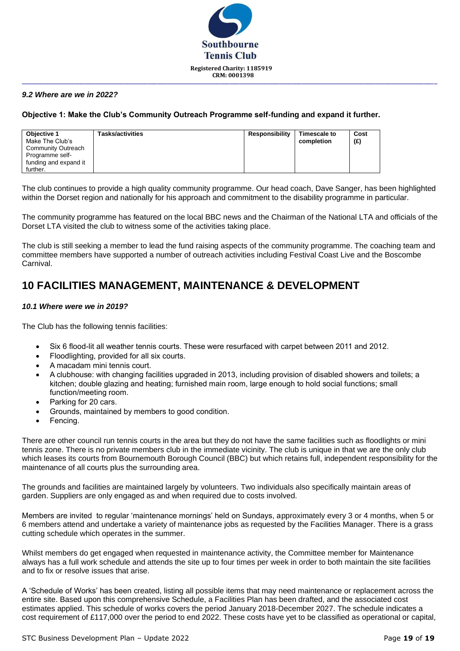

**\_\_\_\_\_\_\_\_\_\_\_\_\_\_\_\_\_\_\_\_\_\_\_\_\_\_\_\_\_\_\_\_\_\_\_\_\_\_\_\_\_\_\_\_\_\_\_\_\_\_\_\_\_\_\_\_\_\_\_\_\_\_\_\_\_\_\_\_\_\_\_\_\_\_\_\_\_\_\_\_\_\_\_\_\_\_\_\_\_\_\_\_\_\_\_\_\_\_\_\_\_\_\_\_\_\_\_\_\_\_\_\_\_\_\_\_\_\_\_\_\_\_\_\_\_\_**

#### *9.2 Where are we in 2022?*

#### **Objective 1: Make the Club's Community Outreach Programme self-funding and expand it further.**

| Objective 1<br>Make The Club's               | <b>Tasks/activities</b> | Responsibility | <b>Timescale to</b><br>completion | Cost<br>(E) |
|----------------------------------------------|-------------------------|----------------|-----------------------------------|-------------|
| <b>Community Outreach</b><br>Programme self- |                         |                |                                   |             |
| funding and expand it<br>further.            |                         |                |                                   |             |

The club continues to provide a high quality community programme. Our head coach, Dave Sanger, has been highlighted within the Dorset region and nationally for his approach and commitment to the disability programme in particular.

The community programme has featured on the local BBC news and the Chairman of the National LTA and officials of the Dorset LTA visited the club to witness some of the activities taking place.

The club is still seeking a member to lead the fund raising aspects of the community programme. The coaching team and committee members have supported a number of outreach activities including Festival Coast Live and the Boscombe Carnival.

### **10 FACILITIES MANAGEMENT, MAINTENANCE & DEVELOPMENT**

#### *10.1 Where were we in 2019?*

The Club has the following tennis facilities:

- Six 6 flood-lit all weather tennis courts. These were resurfaced with carpet between 2011 and 2012.
- Floodlighting, provided for all six courts.
- A macadam mini tennis court.
- A clubhouse: with changing facilities upgraded in 2013, including provision of disabled showers and toilets; a kitchen; double glazing and heating; furnished main room, large enough to hold social functions; small function/meeting room.
- Parking for 20 cars.
- Grounds, maintained by members to good condition.
- Fencing.

There are other council run tennis courts in the area but they do not have the same facilities such as floodlights or mini tennis zone. There is no private members club in the immediate vicinity. The club is unique in that we are the only club which leases its courts from Bournemouth Borough Council (BBC) but which retains full, independent responsibility for the maintenance of all courts plus the surrounding area.

The grounds and facilities are maintained largely by volunteers. Two individuals also specifically maintain areas of garden. Suppliers are only engaged as and when required due to costs involved.

Members are invited to regular 'maintenance mornings' held on Sundays, approximately every 3 or 4 months, when 5 or 6 members attend and undertake a variety of maintenance jobs as requested by the Facilities Manager. There is a grass cutting schedule which operates in the summer.

Whilst members do get engaged when requested in maintenance activity, the Committee member for Maintenance always has a full work schedule and attends the site up to four times per week in order to both maintain the site facilities and to fix or resolve issues that arise.

A 'Schedule of Works' has been created, listing all possible items that may need maintenance or replacement across the entire site. Based upon this comprehensive Schedule, a Facilities Plan has been drafted, and the associated cost estimates applied. This schedule of works covers the period January 2018-December 2027. The schedule indicates a cost requirement of £117,000 over the period to end 2022. These costs have yet to be classified as operational or capital,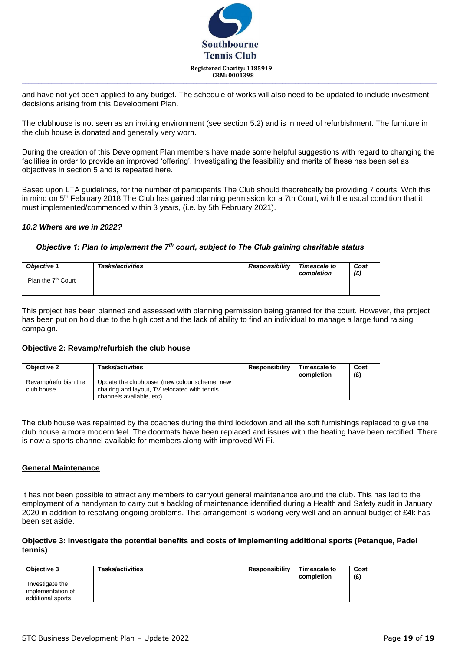

and have not yet been applied to any budget. The schedule of works will also need to be updated to include investment decisions arising from this Development Plan.

The clubhouse is not seen as an inviting environment (see section 5.2) and is in need of refurbishment. The furniture in the club house is donated and generally very worn.

During the creation of this Development Plan members have made some helpful suggestions with regard to changing the facilities in order to provide an improved 'offering'. Investigating the feasibility and merits of these has been set as objectives in section 5 and is repeated here.

Based upon LTA guidelines, for the number of participants The Club should theoretically be providing 7 courts. With this in mind on 5<sup>th</sup> February 2018 The Club has gained planning permission for a 7th Court, with the usual condition that it must implemented/commenced within 3 years, (i.e. by 5th February 2021).

#### *10.2 Where are we in 2022?*

#### *Objective 1: Plan to implement the 7th court, subject to The Club gaining charitable status*

| <b>Obiective 1</b>             | <b>Tasks/activities</b> | Responsibility | Timescale to<br>completion | Cost<br>(E) |
|--------------------------------|-------------------------|----------------|----------------------------|-------------|
| Plan the 7 <sup>th</sup> Court |                         |                |                            |             |

This project has been planned and assessed with planning permission being granted for the court. However, the project has been put on hold due to the high cost and the lack of ability to find an individual to manage a large fund raising campaign.

#### **Objective 2: Revamp/refurbish the club house**

| <b>Objective 2</b>   | <b>Tasks/activities</b>                       | <b>Responsibility</b> | <b>Timescale to</b><br>completion | Cost<br>(£) |
|----------------------|-----------------------------------------------|-----------------------|-----------------------------------|-------------|
| Revamp/refurbish the | Update the clubhouse (new colour scheme, new  |                       |                                   |             |
| club house           | chairing and layout, TV relocated with tennis |                       |                                   |             |
|                      | channels available, etc)                      |                       |                                   |             |

The club house was repainted by the coaches during the third lockdown and all the soft furnishings replaced to give the club house a more modern feel. The doormats have been replaced and issues with the heating have been rectified. There is now a sports channel available for members along with improved Wi-Fi.

#### **General Maintenance**

It has not been possible to attract any members to carryout general maintenance around the club. This has led to the employment of a handyman to carry out a backlog of maintenance identified during a Health and Safety audit in January 2020 in addition to resolving ongoing problems. This arrangement is working very well and an annual budget of £4k has been set aside.

#### **Objective 3: Investigate the potential benefits and costs of implementing additional sports (Petanque, Padel tennis)**

| Objective 3       | <b>Tasks/activities</b> | Responsibility | Timescale to<br>completion | Cost<br>(E) |
|-------------------|-------------------------|----------------|----------------------------|-------------|
| Investigate the   |                         |                |                            |             |
| implementation of |                         |                |                            |             |
| additional sports |                         |                |                            |             |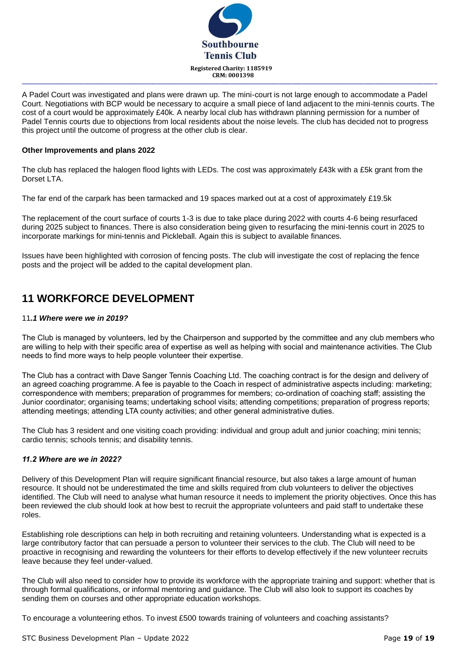

A Padel Court was investigated and plans were drawn up. The mini-court is not large enough to accommodate a Padel Court. Negotiations with BCP would be necessary to acquire a small piece of land adjacent to the mini-tennis courts. The cost of a court would be approximately £40k. A nearby local club has withdrawn planning permission for a number of Padel Tennis courts due to objections from local residents about the noise levels. The club has decided not to progress this project until the outcome of progress at the other club is clear.

**\_\_\_\_\_\_\_\_\_\_\_\_\_\_\_\_\_\_\_\_\_\_\_\_\_\_\_\_\_\_\_\_\_\_\_\_\_\_\_\_\_\_\_\_\_\_\_\_\_\_\_\_\_\_\_\_\_\_\_\_\_\_\_\_\_\_\_\_\_\_\_\_\_\_\_\_\_\_\_\_\_\_\_\_\_\_\_\_\_\_\_\_\_\_\_\_\_\_\_\_\_\_\_\_\_\_\_\_\_\_\_\_\_\_\_\_\_\_\_\_\_\_\_\_\_\_**

#### **Other Improvements and plans 2022**

The club has replaced the halogen flood lights with LEDs. The cost was approximately £43k with a £5k grant from the Dorset LTA.

The far end of the carpark has been tarmacked and 19 spaces marked out at a cost of approximately £19.5k

The replacement of the court surface of courts 1-3 is due to take place during 2022 with courts 4-6 being resurfaced during 2025 subject to finances. There is also consideration being given to resurfacing the mini-tennis court in 2025 to incorporate markings for mini-tennis and Pickleball. Again this is subject to available finances.

Issues have been highlighted with corrosion of fencing posts. The club will investigate the cost of replacing the fence posts and the project will be added to the capital development plan.

### **11 WORKFORCE DEVELOPMENT**

#### 11*.1 Where were we in 2019?*

The Club is managed by volunteers, led by the Chairperson and supported by the committee and any club members who are willing to help with their specific area of expertise as well as helping with social and maintenance activities. The Club needs to find more ways to help people volunteer their expertise.

The Club has a contract with Dave Sanger Tennis Coaching Ltd. The coaching contract is for the design and delivery of an agreed coaching programme. A fee is payable to the Coach in respect of administrative aspects including: marketing; correspondence with members; preparation of programmes for members; co-ordination of coaching staff; assisting the Junior coordinator; organising teams; undertaking school visits; attending competitions; preparation of progress reports; attending meetings; attending LTA county activities; and other general administrative duties.

The Club has 3 resident and one visiting coach providing: individual and group adult and junior coaching; mini tennis; cardio tennis; schools tennis; and disability tennis.

#### *11.2 Where are we in 2022?*

Delivery of this Development Plan will require significant financial resource, but also takes a large amount of human resource. It should not be underestimated the time and skills required from club volunteers to deliver the objectives identified. The Club will need to analyse what human resource it needs to implement the priority objectives. Once this has been reviewed the club should look at how best to recruit the appropriate volunteers and paid staff to undertake these roles.

Establishing role descriptions can help in both recruiting and retaining volunteers. Understanding what is expected is a large contributory factor that can persuade a person to volunteer their services to the club. The Club will need to be proactive in recognising and rewarding the volunteers for their efforts to develop effectively if the new volunteer recruits leave because they feel under-valued.

The Club will also need to consider how to provide its workforce with the appropriate training and support: whether that is through formal qualifications, or informal mentoring and guidance. The Club will also look to support its coaches by sending them on courses and other appropriate education workshops.

To encourage a volunteering ethos. To invest £500 towards training of volunteers and coaching assistants?